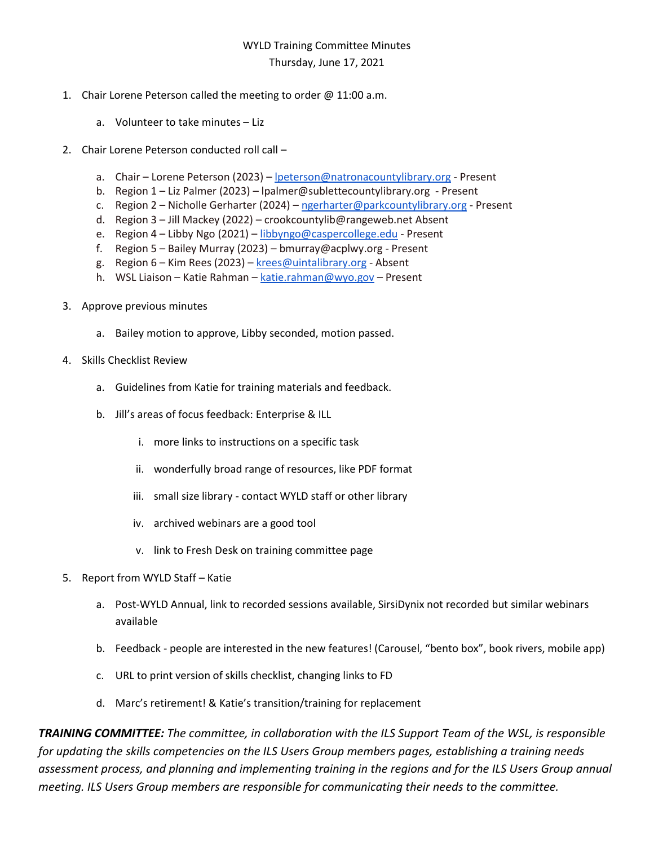## WYLD Training Committee Minutes Thursday, June 17, 2021

## 1. Chair Lorene Peterson called the meeting to order @ 11:00 a.m.

- a. Volunteer to take minutes Liz
- 2. Chair Lorene Peterson conducted roll call
	- a. Chair Lorene Peterson (2023) [lpeterson@natronacountylibrary.org](mailto:lpeterson@natronacountylibrary.org) Present
	- b. Region 1 Liz Palmer (2023) lpalmer@sublettecountylibrary.org Present
	- c. Region 2 Nicholle Gerharter (2024) [ngerharter@parkcountylibrary.org](mailto:ngerharter@parkcountylibrary.org) Present
	- d. Region 3 Jill Mackey (2022) crookcountylib@rangeweb.net Absent
	- e. Region 4 Libby Ngo (2021) [libbyngo@caspercollege.edu](mailto:libbyngo@caspercollege.edu) Present
	- f. Region 5 Bailey Murray (2023) bmurray@acplwy.org Present
	- g. Region 6 Kim Rees (2023) [krees@uintalibrary.org](mailto:krees@uintalibrary.org) Absent
	- h. WSL Liaison Katie Rahman [katie.rahman@wyo.gov](mailto:katie.rahman@wyo.gov) Present
- 3. Approve previous minutes
	- a. Bailey motion to approve, Libby seconded, motion passed.
- 4. Skills Checklist Review
	- a. Guidelines from Katie for training materials and feedback.
	- b. Jill's areas of focus feedback: Enterprise & ILL
		- i. more links to instructions on a specific task
		- ii. wonderfully broad range of resources, like PDF format
		- iii. small size library contact WYLD staff or other library
		- iv. archived webinars are a good tool
		- v. link to Fresh Desk on training committee page
- 5. Report from WYLD Staff Katie
	- a. Post-WYLD Annual, link to recorded sessions available, SirsiDynix not recorded but similar webinars available
	- b. Feedback people are interested in the new features! (Carousel, "bento box", book rivers, mobile app)
	- c. URL to print version of skills checklist, changing links to FD
	- d. Marc's retirement! & Katie's transition/training for replacement

*TRAINING COMMITTEE: The committee, in collaboration with the ILS Support Team of the WSL, is responsible for updating the skills competencies on the ILS Users Group members pages, establishing a training needs assessment process, and planning and implementing training in the regions and for the ILS Users Group annual meeting. ILS Users Group members are responsible for communicating their needs to the committee.*